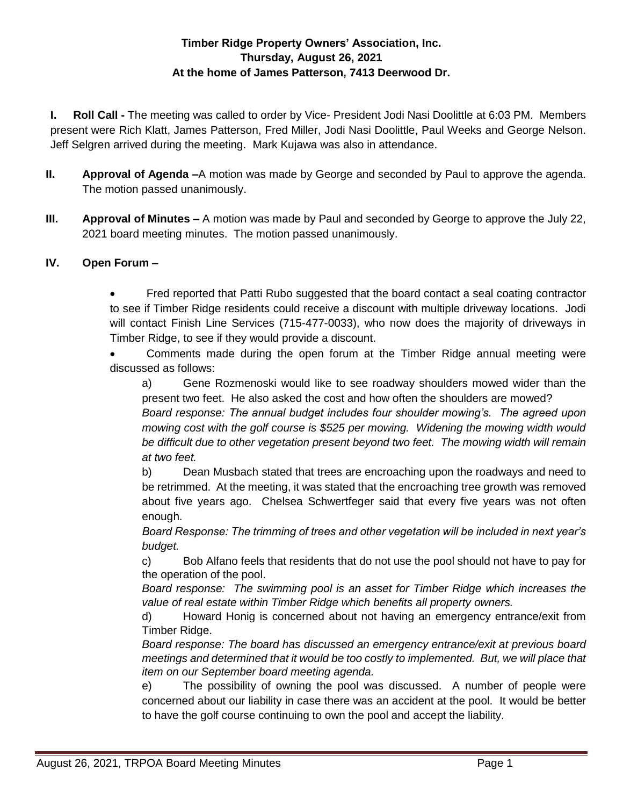# **Timber Ridge Property Owners' Association, Inc. Thursday, August 26, 2021 At the home of James Patterson, 7413 Deerwood Dr.**

**I. Roll Call -** The meeting was called to order by Vice- President Jodi Nasi Doolittle at 6:03 PM. Members present were Rich Klatt, James Patterson, Fred Miller, Jodi Nasi Doolittle, Paul Weeks and George Nelson. Jeff Selgren arrived during the meeting. Mark Kujawa was also in attendance.

- **II. Approval of Agenda –**A motion was made by George and seconded by Paul to approve the agenda. The motion passed unanimously.
- **III. Approval of Minutes –** A motion was made by Paul and seconded by George to approve the July 22, 2021 board meeting minutes. The motion passed unanimously.

## **IV. Open Forum –**

 Fred reported that Patti Rubo suggested that the board contact a seal coating contractor to see if Timber Ridge residents could receive a discount with multiple driveway locations. Jodi will contact Finish Line Services (715-477-0033), who now does the majority of driveways in Timber Ridge, to see if they would provide a discount.

 Comments made during the open forum at the Timber Ridge annual meeting were discussed as follows:

a) Gene Rozmenoski would like to see roadway shoulders mowed wider than the present two feet. He also asked the cost and how often the shoulders are mowed?

*Board response: The annual budget includes four shoulder mowing's. The agreed upon mowing cost with the golf course is \$525 per mowing. Widening the mowing width would be difficult due to other vegetation present beyond two feet. The mowing width will remain at two feet.*

b) Dean Musbach stated that trees are encroaching upon the roadways and need to be retrimmed. At the meeting, it was stated that the encroaching tree growth was removed about five years ago. Chelsea Schwertfeger said that every five years was not often enough.

*Board Response: The trimming of trees and other vegetation will be included in next year's budget.* 

c) Bob Alfano feels that residents that do not use the pool should not have to pay for the operation of the pool.

*Board response: The swimming pool is an asset for Timber Ridge which increases the value of real estate within Timber Ridge which benefits all property owners.* 

d) Howard Honig is concerned about not having an emergency entrance/exit from Timber Ridge.

*Board response: The board has discussed an emergency entrance/exit at previous board meetings and determined that it would be too costly to implemented. But, we will place that item on our September board meeting agenda.* 

e) The possibility of owning the pool was discussed. A number of people were concerned about our liability in case there was an accident at the pool. It would be better to have the golf course continuing to own the pool and accept the liability.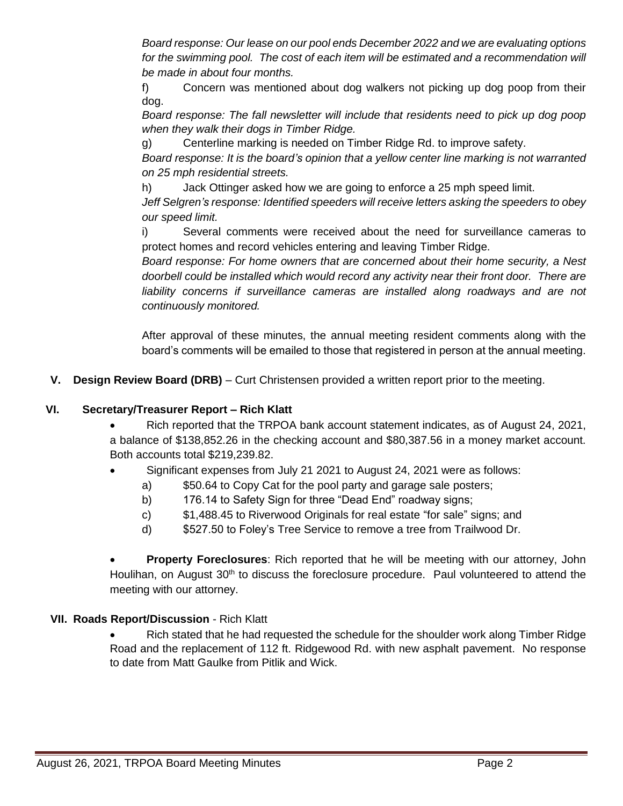*Board response: Our lease on our pool ends December 2022 and we are evaluating options*  for the swimming pool. The cost of each item will be estimated and a recommendation will *be made in about four months.* 

f) Concern was mentioned about dog walkers not picking up dog poop from their dog.

*Board response: The fall newsletter will include that residents need to pick up dog poop when they walk their dogs in Timber Ridge.* 

g) Centerline marking is needed on Timber Ridge Rd. to improve safety.

*Board response: It is the board's opinion that a yellow center line marking is not warranted on 25 mph residential streets.* 

h) Jack Ottinger asked how we are going to enforce a 25 mph speed limit.

*Jeff Selgren's response: Identified speeders will receive letters asking the speeders to obey our speed limit.*

i) Several comments were received about the need for surveillance cameras to protect homes and record vehicles entering and leaving Timber Ridge.

*Board response: For home owners that are concerned about their home security, a Nest doorbell could be installed which would record any activity near their front door. There are liability concerns if surveillance cameras are installed along roadways and are not continuously monitored.* 

After approval of these minutes, the annual meeting resident comments along with the board's comments will be emailed to those that registered in person at the annual meeting.

**V. Design Review Board (DRB)** – Curt Christensen provided a written report prior to the meeting.

## **VI. Secretary/Treasurer Report – Rich Klatt**

- Rich reported that the TRPOA bank account statement indicates, as of August 24, 2021, a balance of \$138,852.26 in the checking account and \$80,387.56 in a money market account. Both accounts total \$219,239.82.
- Significant expenses from July 21 2021 to August 24, 2021 were as follows:
	- a) \$50.64 to Copy Cat for the pool party and garage sale posters;
	- b) 176.14 to Safety Sign for three "Dead End" roadway signs;
	- c) \$1,488.45 to Riverwood Originals for real estate "for sale" signs; and
	- d) \$527.50 to Foley's Tree Service to remove a tree from Trailwood Dr.

 **Property Foreclosures**: Rich reported that he will be meeting with our attorney, John Houlihan, on August 30<sup>th</sup> to discuss the foreclosure procedure. Paul volunteered to attend the meeting with our attorney.

## **VII. Roads Report/Discussion** - Rich Klatt

 Rich stated that he had requested the schedule for the shoulder work along Timber Ridge Road and the replacement of 112 ft. Ridgewood Rd. with new asphalt pavement. No response to date from Matt Gaulke from Pitlik and Wick.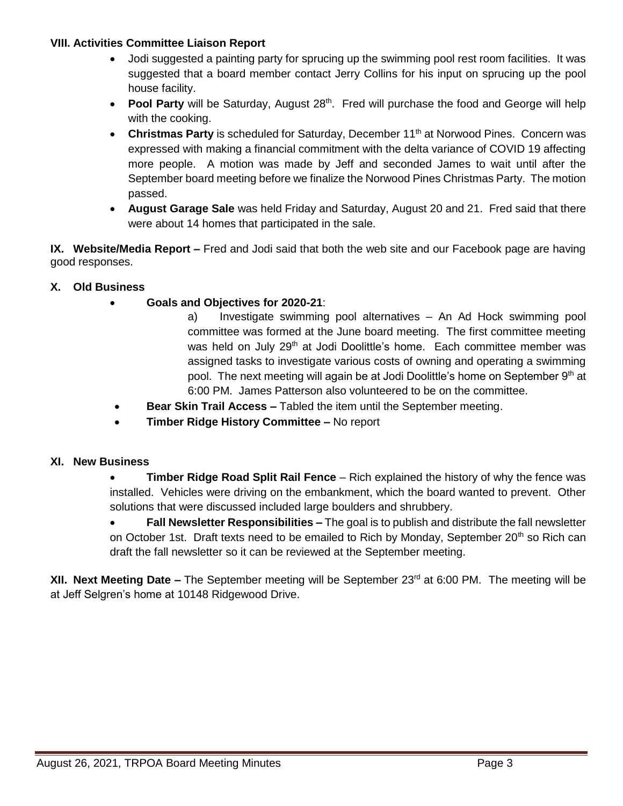### **VIII. Activities Committee Liaison Report**

- Jodi suggested a painting party for sprucing up the swimming pool rest room facilities. It was suggested that a board member contact Jerry Collins for his input on sprucing up the pool house facility.
- **Pool Party** will be Saturday, August 28<sup>th</sup>. Fred will purchase the food and George will help with the cooking.
- Christmas Party is scheduled for Saturday, December 11<sup>th</sup> at Norwood Pines. Concern was expressed with making a financial commitment with the delta variance of COVID 19 affecting more people. A motion was made by Jeff and seconded James to wait until after the September board meeting before we finalize the Norwood Pines Christmas Party. The motion passed.
- **August Garage Sale** was held Friday and Saturday, August 20 and 21. Fred said that there were about 14 homes that participated in the sale.

**IX. Website/Media Report –** Fred and Jodi said that both the web site and our Facebook page are having good responses.

## **X. Old Business**

- **Goals and Objectives for 2020-21**:
	- a) Investigate swimming pool alternatives An Ad Hock swimming pool committee was formed at the June board meeting. The first committee meeting was held on July 29<sup>th</sup> at Jodi Doolittle's home. Each committee member was assigned tasks to investigate various costs of owning and operating a swimming pool. The next meeting will again be at Jodi Doolittle's home on September 9th at 6:00 PM. James Patterson also volunteered to be on the committee.
- **Bear Skin Trail Access –** Tabled the item until the September meeting.
- **Timber Ridge History Committee –** No report

## **XI. New Business**

 **Timber Ridge Road Split Rail Fence** – Rich explained the history of why the fence was installed. Vehicles were driving on the embankment, which the board wanted to prevent. Other solutions that were discussed included large boulders and shrubbery.

 **Fall Newsletter Responsibilities –** The goal is to publish and distribute the fall newsletter on October 1st. Draft texts need to be emailed to Rich by Monday, September 20<sup>th</sup> so Rich can draft the fall newsletter so it can be reviewed at the September meeting.

**XII. Next Meeting Date –** The September meeting will be September 23<sup>rd</sup> at 6:00 PM. The meeting will be at Jeff Selgren's home at 10148 Ridgewood Drive.